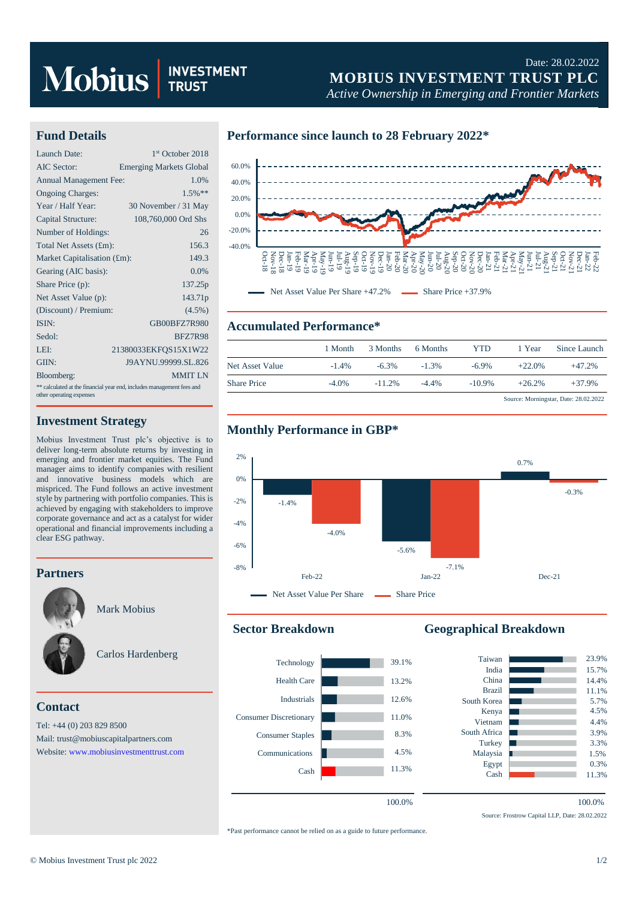# Mobius **RUS**

# Date: 28.02.2022 **MOBIUS INVESTMENT TRUST PLC**

*Active Ownership in Emerging and Frontier Markets*

### **Fund Details**

| Launch Date:                                                                                      | 1 <sup>st</sup> October 2018   |  |  |  |
|---------------------------------------------------------------------------------------------------|--------------------------------|--|--|--|
| AIC Sector:                                                                                       | <b>Emerging Markets Global</b> |  |  |  |
| <b>Annual Management Fee:</b>                                                                     | 1.0%                           |  |  |  |
| <b>Ongoing Charges:</b>                                                                           | $1.5%$ **                      |  |  |  |
| Year / Half Year:                                                                                 | 30 November / 31 May           |  |  |  |
| Capital Structure:                                                                                | 108,760,000 Ord Shs            |  |  |  |
| Number of Holdings:                                                                               | 26                             |  |  |  |
| Total Net Assets (£m):                                                                            | 156.3                          |  |  |  |
| Market Capitalisation (£m):                                                                       | 149.3                          |  |  |  |
| Gearing (AIC basis):                                                                              | 0.0%                           |  |  |  |
| Share Price (p):                                                                                  | 137.25p                        |  |  |  |
| Net Asset Value (p):                                                                              | 143.71p                        |  |  |  |
| (Discount) / Premium:                                                                             | $(4.5\%)$                      |  |  |  |
| ISIN:                                                                                             | GB00BFZ7R980                   |  |  |  |
| Sedol:                                                                                            | <b>BFZ7R98</b>                 |  |  |  |
| LEI:                                                                                              | 21380033EKFOS15X1W22           |  |  |  |
| GIIN:                                                                                             | J9AYNU.99999.SL.826            |  |  |  |
| Bloomberg:                                                                                        | <b>MMIT LN</b>                 |  |  |  |
| ** calculated at the financial year end, includes management fees and<br>other operating expenses |                                |  |  |  |

#### **Investment Strategy**

Mobius Investment Trust plc's objective is to deliver long-term absolute returns by investing in emerging and frontier market equities. The Fund manager aims to identify companies with resilient and innovative business models which are mispriced. The Fund follows an active investment style by partnering with portfolio companies. This is achieved by engaging with stakeholders to improve corporate governance and act as a catalyst for wider operational and financial improvements including a clear ESG pathway.

#### **Partners**



Mark Mobius



# **Contact**

Tel: +44 (0) 203 829 8500 Mail[: trust@mobiuscapitalpartners.com](mailto:trust@mobiuscapitalpartners.com) Website[: www.mobiusinvestmenttrust.com](https://www.mobiusinvestmenttrust.com/)

### **Performance since launch to 28 February 2022\***



## **Accumulated Performance\***

|                    | 1 Month  | 3 Months  | 6 Months | YTD       | 1 Year   | Since Launch                          |
|--------------------|----------|-----------|----------|-----------|----------|---------------------------------------|
| Net Asset Value    | $-1.4\%$ | $-6.3\%$  | $-1.3%$  | $-6.9\%$  | $+22.0%$ | $+47.2%$                              |
| <b>Share Price</b> | $-4.0\%$ | $-11.2\%$ | $-4.4\%$ | $-10.9\%$ | $+26.2%$ | $+37.9%$                              |
|                    |          |           |          |           |          | Source: Morningstar, Date: 28.02.2022 |





#### **Sector Breakdown**



# **Geographical Breakdown**



Source: Frostrow Capital LLP, Date: 28.02.2022

\*Past performance cannot be relied on as a guide to future performance.